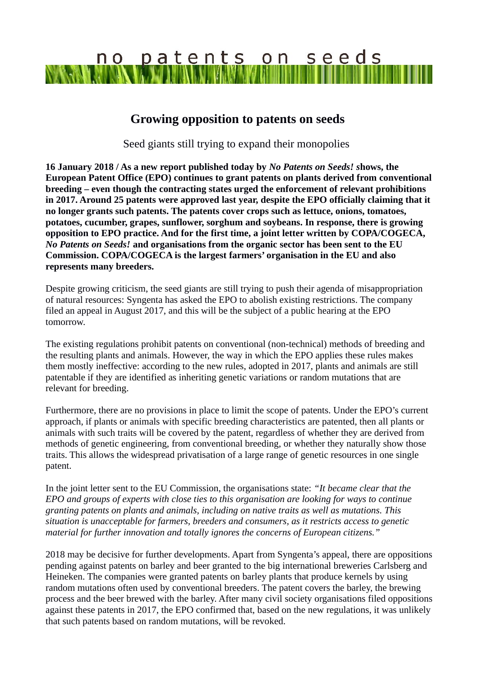## no patents on seeds

## **Growing opposition to patents on seeds**

Seed giants still trying to expand their monopolies

**16 January 2018 / As a new report published today by** *No Patents on Seeds! s***hows, the European Patent Office (EPO) continues to grant patents on plants derived from conventional breeding – even though the contracting states urged the enforcement of relevant prohibitions in 2017. Around 25 patents were approved last year, despite the EPO officially claiming that it no longer grants such patents. The patents cover crops such as lettuce, onions, tomatoes, potatoes, cucumber, grapes, sunflower, sorghum and soybeans. In response, there is growing opposition to EPO practice. And for the first time, a joint letter written by COPA/COGECA,**  *No Patents on Seeds!* **and organisations from the organic sector has been sent to the EU Commission. COPA/COGECA is the largest farmers' organisation in the EU and also represents many breeders.**

Despite growing criticism, the seed giants are still trying to push their agenda of misappropriation of natural resources: Syngenta has asked the EPO to abolish existing restrictions. The company filed an appeal in August 2017, and this will be the subject of a public hearing at the EPO tomorrow.

The existing regulations prohibit patents on conventional (non-technical) methods of breeding and the resulting plants and animals. However, the way in which the EPO applies these rules makes them mostly ineffective: according to the new rules, adopted in 2017, plants and animals are still patentable if they are identified as inheriting genetic variations or random mutations that are relevant for breeding.

Furthermore, there are no provisions in place to limit the scope of patents. Under the EPO's current approach, if plants or animals with specific breeding characteristics are patented, then all plants or animals with such traits will be covered by the patent, regardless of whether they are derived from methods of genetic engineering, from conventional breeding, or whether they naturally show those traits. This allows the widespread privatisation of a large range of genetic resources in one single patent.

In the joint letter sent to the EU Commission, the organisations state: *"It became clear that the EPO and groups of experts with close ties to this organisation are looking for ways to continue granting patents on plants and animals, including on native traits as well as mutations. This situation is unacceptable for farmers, breeders and consumers, as it restricts access to genetic material for further innovation and totally ignores the concerns of European citizens."* 

2018 may be decisive for further developments. Apart from Syngenta's appeal, there are oppositions pending against patents on barley and beer granted to the big international breweries Carlsberg and Heineken. The companies were granted patents on barley plants that produce kernels by using random mutations often used by conventional breeders. The patent covers the barley, the brewing process and the beer brewed with the barley. After many civil society organisations filed oppositions against these patents in 2017, the EPO confirmed that, based on the new regulations, it was unlikely that such patents based on random mutations, will be revoked.